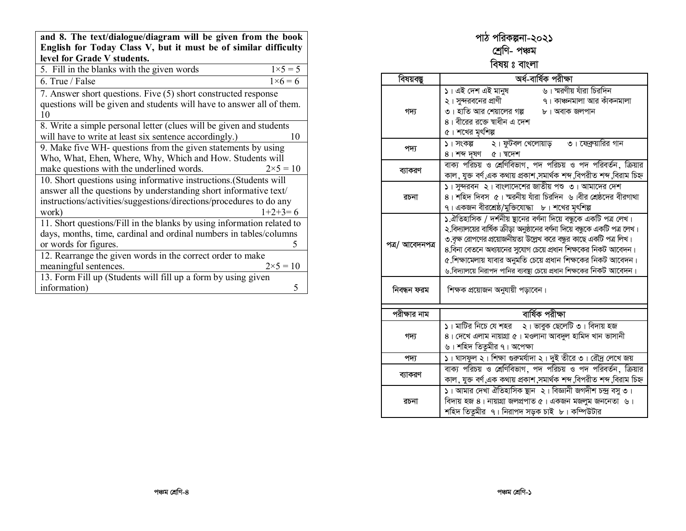| and 8. The text/dialogue/diagram will be given from the book<br>English for Today Class V, but it must be of similar difficulty |                   |  |
|---------------------------------------------------------------------------------------------------------------------------------|-------------------|--|
| level for Grade V students.                                                                                                     |                   |  |
| 5. Fill in the blanks with the given words                                                                                      | $1 \times 5 = 5$  |  |
| 6. True / False                                                                                                                 | $1 \times 6 = 6$  |  |
| 7. Answer short questions. Five (5) short constructed response                                                                  |                   |  |
| questions will be given and students will have to answer all of them.                                                           |                   |  |
| 10                                                                                                                              |                   |  |
| 8. Write a simple personal letter (clues will be given and students                                                             |                   |  |
| will have to write at least six sentence accordingly.)                                                                          | 10                |  |
| 9. Make five WH- questions from the given statements by using                                                                   |                   |  |
| Who, What, Ehen, Where, Why, Which and How. Students will                                                                       |                   |  |
| make questions with the underlined words.                                                                                       | $2 \times 5 = 10$ |  |
| 10. Short questions using informative instructions.(Students will                                                               |                   |  |
| answer all the questions by understanding short informative text/                                                               |                   |  |
| instructions/activities/suggestions/directions/procedures to do any                                                             |                   |  |
| work)                                                                                                                           | $1+2+3=6$         |  |
| 11. Short questions/Fill in the blanks by using information related to                                                          |                   |  |
| days, months, time, cardinal and ordinal numbers in tables/columns                                                              |                   |  |
| or words for figures.                                                                                                           | 5                 |  |
| 12. Rearrange the given words in the correct order to make                                                                      |                   |  |
| meaningful sentences.                                                                                                           | $2 \times 5 = 10$ |  |
| 13. Form Fill up (Students will fill up a form by using given                                                                   |                   |  |
| information)                                                                                                                    | 5                 |  |

#### পাঠ পরিকল্পনা-২০২**১** শ্ৰেণি- পঞ্চম

#### বিষয় ঃ বাংলা

| বিষয়বস্তু      | অৰ্ধ-বাৰ্ষিক পরীক্ষা                                                                                                                                                                                                                                                                                                                                                                                                               |  |  |
|-----------------|------------------------------------------------------------------------------------------------------------------------------------------------------------------------------------------------------------------------------------------------------------------------------------------------------------------------------------------------------------------------------------------------------------------------------------|--|--|
| গদ্য            | ১। এই দেশ এই মানুষ<br>৬। স্মরণীয় যাঁরা চিরদিন<br>২। সুন্দরবনের প্রাণী<br>৭। কাঞ্চনমালা আর কাঁকনমালা<br>৩। হাতি আর শেয়ালের গল্প<br>৮। অবাক জলপান<br>৪। বীরের রজে স্বাধীন এ দেশ<br>৫। শখের মৃৎশিল্প                                                                                                                                                                                                                                |  |  |
| পদ্য            | ১। সংকল্প ২। ফুটবল খেলোয়াড় ৩। ফেব্রুয়ারির গান<br>8। गम मृषण ৫। घटनग                                                                                                                                                                                                                                                                                                                                                             |  |  |
| ব্যাকরণ         | বাক্য পরিচয় ও শ্রেণিবিভাগ, পদ পরিচয় ও পদ পরিবর্তন, ক্রিয়ার<br>কাল ,যুক্ত বৰ্ণ এক কথায় প্ৰকাশ ,সমাৰ্থক শব্দ ,বিপরীত শব্দ ,বিরাম চিহ্ন                                                                                                                                                                                                                                                                                           |  |  |
| রচনা            | ১। সুন্দরবন ২। বাংলাদেশের জাতীয় পশু ৩। আমাদের দেশ<br>৪। শহিদ দিবস ৫। ম্মরনীয় যাঁরা চিরদিন ৬।বীর শ্রেষ্ঠদের বীরগাথা<br>৭। একজন বীরশ্রেষ্ঠ/মুক্তিযোদ্ধা   ৮। শখের মৃৎশিল্প                                                                                                                                                                                                                                                         |  |  |
| পত্ৰ/ আবেদনপত্ৰ | ১.ঐতিহাসিক / দর্শনীয় ষ্থানের বর্ণনা দিয়ে বন্ধুকে একটি পত্র লেখ।<br>২.বিদ্যালয়ের বার্ষিক ক্রীড়া অনুষ্ঠানের বর্ণনা দিয়ে বন্ধুকে একটি পত্র লেখ।<br>৩.বৃক্ষ রোপণের প্রয়োজনীয়তা উল্লেখ করে বন্ধুর কাছে একটি পত্র লিখ।<br>৪.বিনা বেতনে অধ্যয়নের সুযোগ চেয়ে প্রধান শিক্ষকের নিকট আবেদন।<br>৫.শিক্ষামেলায় যাবার অনুমতি চেয়ে প্রধান শিক্ষকের নিকট আবেদন।<br>৬.বিদ্যালয়ে নিরাপদ পানির ব্যবস্থা চেয়ে প্রধান শিক্ষকের নিকট আবেদন। |  |  |
| নিবন্ধন ফরম     | শিক্ষক প্রয়োজন অনুযায়ী পড়াবেন।                                                                                                                                                                                                                                                                                                                                                                                                  |  |  |
| পরীক্ষার নাম    | বাৰ্ষিক পরীক্ষা                                                                                                                                                                                                                                                                                                                                                                                                                    |  |  |
| গদ্য            | ১। মাটির নিচে যে শহর ২। ভাবুক ছেলেটি ৩। বিদায় হজ<br>৪। দেখে এলাম নায়াগ্রা ৫। মওলানা আবদুল হামিদ খান ভাসানী<br>৬। শহিদ তিতুমীর ৭। অপেক্ষা                                                                                                                                                                                                                                                                                         |  |  |
| পদ্য            | ১। ঘাসফুল ২। শিক্ষা গুরুমর্যাদা ২। দুই তীরে ৩। রৌদ্র লেখে জয়                                                                                                                                                                                                                                                                                                                                                                      |  |  |
| ব্যাকরণ         | বাক্য পরিচয় ও শ্রেণিবিভাগ, পদ পরিচয় ও পদ পরিবর্তন, ক্রিয়ার<br>কাল, যুক্ত বৰ্ণ,এক কথায় প্ৰকাশ,সমাৰ্থক শব্দ,বিপরীত শব্দ,বিরাম চিহ্ন                                                                                                                                                                                                                                                                                              |  |  |
| রচনা            | ১। আমার দেখা ঐতিহাসিক ছান ২। বিজ্ঞানী জগদীশ চন্দ্র বসু ৩।<br>বিদায় হজ ৪। নায়াগ্রা জলপ্রপাত ৫। একজন মজলুম জননেতা ৬।<br>শহিদ তিতুমীর ৭। নিরাপদ সড়ক চাই ৮। কম্পিউটার                                                                                                                                                                                                                                                               |  |  |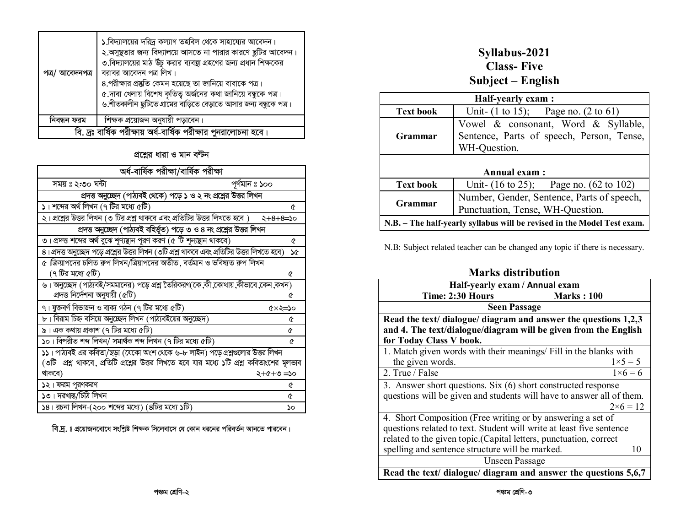| পত্ৰ/ আবেদনপত্ৰ | ১.বিদ্যালয়ের দরিদ্র কল্যাণ তহবিল থেকে সাহায্যের আবেদন।<br>২.অসুষ্থতার জন্য বিদ্যালয়ে আসতে না পারার কারণে ছুটির আবেদন।<br>৩.বিদ্যালয়ের মাঠ উঁচু করার ব্যবস্থা গ্রহণের জন্য প্রধান শিক্ষকের<br>বরাবর আবেদন পত্র লিখ।<br>৪.পরীক্ষার প্রষ্কৃতি কেমন হয়েছে তা জানিয়ে বাবাকে পত্র।<br>৫.দাবা খেলায় বিশেষ কৃতিত্ব অর্জনের কথা জানিয়ে বন্ধুকে পত্র।<br>৬.শীতকালীন ছুটিতে গ্রামের বাড়িতে বেড়াতে আসার জন্য বন্ধুকে পত্র। |
|-----------------|-------------------------------------------------------------------------------------------------------------------------------------------------------------------------------------------------------------------------------------------------------------------------------------------------------------------------------------------------------------------------------------------------------------------------|
| নিবন্ধন ফরম     | শিক্ষক প্রয়োজন অনুযায়ী পড়াবেন।                                                                                                                                                                                                                                                                                                                                                                                       |
|                 | বি. দ্রঃ বার্ষিক পরীক্ষায় অর্ধ-বার্ষিক পরীক্ষার পুনরালোচনা হবে।                                                                                                                                                                                                                                                                                                                                                        |

প্রশ্নের ধারা ও মান বন্টন

| অৰ্ধ-বাৰ্ষিক পরীক্ষা/বাৰ্ষিক পরীক্ষা                                                         |        |  |
|----------------------------------------------------------------------------------------------|--------|--|
| সময় ঃ ২:৩০ ঘন্টা<br>পূর্ণমান ঃ ১০০                                                          |        |  |
| প্রদত্ত অনুচ্ছেদ (পাঠ্যবই থেকে) পড়ে ১ ও ২ নং প্রশ্নের উত্তর লিখন                            |        |  |
| ১। শব্দের অর্থ লিখন (৭ টির মধ্যে ৫টি)                                                        | ৫      |  |
| ২। প্রশ্নের উত্তর লিখন (৩ টির প্রশ্ন থাকবে এবং প্রতিটির উত্তর লিখতে হবে ) $\,$ ২ $+8+8$ =১০  |        |  |
| প্রদত্ত অনুচ্ছেদ (পাঠ্যবই বহির্ভূত) পড়ে ৩ ও ৪ নং প্রশ্নের উত্তর লিখন                        |        |  |
| ৩। প্রদত্ত শব্দের অর্থ বুঝে শৃণ্যন্থান পূরণ করণ (৫ টি শূন্যস্থান থাকবে)                      | ᢙ      |  |
| ৪। প্রদত্ত অনুচ্ছেদ পড়ে প্রশ্নের উত্তর লিখন (৩টি প্রশ্ন থাকবে এবং প্রতিটির উত্তর লিখতে হবে) | ነው     |  |
| ৫।ক্রিয়াপদের চলিত রুপ লিখন/ত্রিয়াপদের অতীত, বর্তমান ও ভবিষ্যত রুপ লিখন                     |        |  |
| (৭ টির মধ্যে ৫টি)                                                                            | ᢙ      |  |
| ৬। অনুচ্ছেদ (পাঠ্যবই/সমমানের) পড়ে প্রশ্ন তৈরিকরণ(কে,কী,কোথায়,কীভাবে,কেন,কখন)               |        |  |
| প্ৰদত্ত নিৰ্দেশনা অনুযায়ী (৫টি)                                                             | ¢      |  |
| ৭। যুক্তবর্ণ বিভাজন ও বাক্য গঠন (৭ টির মধ্যে ৫টি)                                            | ৫×২=১০ |  |
| ৮। বিরাম চিহ্ন বসিয়ে অনুচ্ছেদ লিখন (পাঠ্যবইয়ের অনুচ্ছেদ)                                   | A      |  |
| ৯। এক কথায় প্রকাশ (৭ টির মধ্যে ৫টি)                                                         | ᢙ      |  |
| ১০। বিপরীত শব্দ লিখন/ সমার্থক শব্দ লিখন (৭ টির মধ্যে ৫টি)                                    | Q      |  |
| ১১। পাঠ্যবই এর কবিতা/ছড়া (যেকো অংশ থেকে ৬-৮ লাইন) পড়ে প্রশ্নগুলোর উত্তর লিখন               |        |  |
| (৩টি  প্রশ্ন থাকবে, প্রতিটি প্রশ্নের উত্তর লিখতে হবে যার মধ্যে ১টি প্রশ্ন কবিতাংশের মূলভাব   |        |  |
| থাকবে)<br>০ረ= ៚+৫+২                                                                          |        |  |
| ১২। ফরম পূরণকরণ                                                                              | ৫      |  |
| ১৩। দরখান্ত/চিঠি লিখন                                                                        | Q      |  |
| ১৪। রচনা লিখন-(২০০ শব্দের মধ্যে) (৪টির মধ্যে ১টি)                                            | ১০     |  |

বি.দ্র. ঃ প্রয়োজনবোধে সংশ্লিষ্ট শিক্ষক সিলেবাসে যে কোন ধরনের পরিবর্তন আনতে পারবেন।

#### Syllabus-2021 **Class-Five** Subject - English

| Half-yearly exam :                                                                                          |                                                                                |  |  |  |
|-------------------------------------------------------------------------------------------------------------|--------------------------------------------------------------------------------|--|--|--|
| <b>Text book</b>                                                                                            | Unit- $(1 \text{ to } 15)$ ; Page no. $(2 \text{ to } 61)$                     |  |  |  |
| Vowel & consonant, Word & Syllable,<br>Sentence, Parts of speech, Person, Tense,<br>Grammar<br>WH-Question. |                                                                                |  |  |  |
|                                                                                                             | <b>Annual exam:</b>                                                            |  |  |  |
| <b>Text book</b>                                                                                            | Unit- $(16 \text{ to } 25)$ ; Page no. $(62 \text{ to } 102)$                  |  |  |  |
| Grammar                                                                                                     | Number, Gender, Sentence, Parts of speech,<br>Punctuation, Tense, WH-Question. |  |  |  |
| N.B. – The half-yearly syllabus will be revised in the Model Test exam.                                     |                                                                                |  |  |  |

N.B: Subject related teacher can be changed any topic if there is necessary.

| <b>Marks distribution</b> |
|---------------------------|
|                           |

| Half-yearly exam / Annual exam                                        |                            |  |
|-----------------------------------------------------------------------|----------------------------|--|
| Time: 2:30 Hours                                                      | <b>Marks</b> : 100         |  |
| <b>Seen Passage</b>                                                   |                            |  |
| Read the text/ dialogue/ diagram and answer the questions 1,2,3       |                            |  |
| and 4. The text/dialogue/diagram will be given from the English       |                            |  |
| for Today Class V book.                                               |                            |  |
| 1. Match given words with their meanings/ Fill in the blanks with     |                            |  |
| the given words.                                                      | $1 \times 5 = 5$           |  |
| 2. True / False                                                       | $\overline{1\times 6}$ = 6 |  |
| 3. Answer short questions. Six (6) short constructed response         |                            |  |
| questions will be given and students will have to answer all of them. |                            |  |
|                                                                       | $2\times 6 = 12$           |  |
| 4. Short Composition (Free writing or by answering a set of           |                            |  |
| questions related to text. Student will write at least five sentence  |                            |  |
| related to the given topic.(Capital letters, punctuation, correct     |                            |  |
| spelling and sentence structure will be marked.                       | 10                         |  |
| <b>Unseen Passage</b>                                                 |                            |  |
| Read the text/ dialogue/ diagram and answer the questions 5,6,7       |                            |  |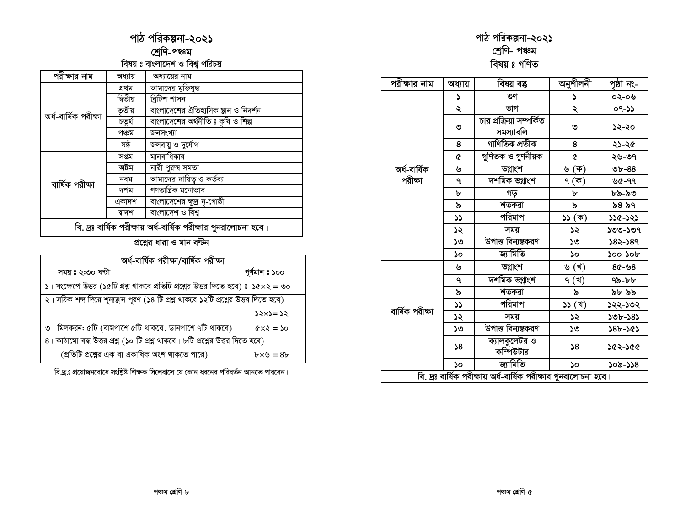### পাঠ পরিকল্পনা-২০২১

#### শ্ৰেণি-পঞ্চম -<br>বিষয় ঃ বাংলাদেশ ও বিশ্ব পরিচয়

| পরীক্ষার নাম                                                     | অধ্যায়  | অধ্যায়ের নাম                       |  |  |
|------------------------------------------------------------------|----------|-------------------------------------|--|--|
| অৰ্ধ-বাৰ্ষিক পরীক্ষা                                             | প্ৰথম    | আমাদের মুক্তিযুদ্ধ                  |  |  |
|                                                                  | দ্বিতীয় | ব্ৰিটিশ শাসন                        |  |  |
|                                                                  | তৃতীয়   | বাংলাদেশের ঐতিহাসিক স্থান ও নিদর্শন |  |  |
|                                                                  | চতুৰ্থ   | বাংলাদেশের অর্থনীতি ঃ কৃষি ও শিল্প  |  |  |
|                                                                  | পঞ্চম    | জনসংখ্যা                            |  |  |
|                                                                  | ষষ্ঠ     | জলবায়ু ও দুর্যোগ                   |  |  |
|                                                                  | সপ্তম    | মানবাধিকার                          |  |  |
|                                                                  | অষ্টম    | নারী পুরুষ সমতা                     |  |  |
| বাৰ্ষিক পরীক্ষা                                                  | নবম      | আমাদের দায়িত্ব ও কর্তব্য           |  |  |
|                                                                  | দশম      | গণতান্ত্ৰিক মনোভাব                  |  |  |
|                                                                  | একাদশ    | বাংলাদেশের ক্ষুদ্র নৃ-গোষ্ঠী        |  |  |
|                                                                  | দ্বাদশ   | বাংলাদেশ ও বিশ্ব                    |  |  |
| বি. দ্রঃ বার্ষিক পরীক্ষায় অর্ধ-বার্ষিক পরীক্ষার পুনরালোচনা হবে। |          |                                     |  |  |

প্রশ্নের ধারা ও মান বণ্টন

| অৰ্ধ-বাৰ্ষিক পরীক্ষা/বাৰ্ষিক পরীক্ষা                                                       |                             |  |
|--------------------------------------------------------------------------------------------|-----------------------------|--|
| সময়ঃ ২:৩০ ঘন্টা                                                                           | পূর্ণমান ঃ ১০০              |  |
| ১। সংক্ষেপে উত্তর (১৫টি প্রশ্ন থাকবে প্রতিটি প্রশ্নের উত্তর দিতে হবে) ঃ ১৫ $\times$ ২ = ৩০ |                             |  |
| ২। সঠিক শব্দ দিয়ে শূন্যন্থান পূরণ (১৪ টি প্রশ্ন থাকবে ১২টি প্রশ্নের উত্তর দিতে হবে)       |                             |  |
|                                                                                            | ১২×১= ১২                    |  |
| ৩। মিলকরন: ৫টি (বামপাশে ৫টি থাকবে, ডানপাশে ৭টি থাকবে)                                      | $\alpha \leq z \leq \infty$ |  |
| $8$ । কাঠামো বদ্ধ উত্তর প্রশ্ন (১০ টি প্রশ্ন থাকবে। ৮টি প্রশ্নের উত্তর দিতে হবে)           |                             |  |
| (প্রতিটি প্রশ্নের এক বা একাধিক অংশ থাকতে পারে)                                             | $b \times b = 8b$           |  |

বি.দ্র.ঃ প্রয়োজনবোধে সংশ্লিষ্ট শিক্ষক সিলেবাসে যে কোন ধরনের পরিবর্তন আনতে পারবেন।

## পাঠ পরিকল্পনা-২০২১<br>শ্রেণি- পঞ্চম<br>বিষয় ঃ গণিত

| পরীক্ষার নাম                                                     | অধ্যায়      | বিষয় বস্তু                           | অনুশীলনী | পৃষ্ঠা নং- |
|------------------------------------------------------------------|--------------|---------------------------------------|----------|------------|
|                                                                  | د            | গুণ                                   | ډ        | ০২-০৬      |
|                                                                  | ২            | ভাগ                                   | ২        | $09 - 22$  |
|                                                                  | ৩            | চার প্রক্রিয়া সম্পর্কিত<br>সমস্যাবলি | ৩        | ১২-২০      |
|                                                                  | 8            | গাণিতিক প্ৰতীক                        | 8        | ২১-২৫      |
|                                                                  | Q            | গুণিতক ও গুণনীয়ক                     | Q        | ২৬-৩৭      |
| অৰ্ধ-বাৰ্ষিক                                                     | ৬            | ভগ্নাংশ                               | ৬ (ক)    | $v - 88$   |
| পরীক্ষা                                                          | ٩            | দশমিক ভগ্নাংশ                         | ৭ (ক)    | ৬৫-৭৭      |
|                                                                  | ৮            | গড়                                   | ৮        | ৮৯-৯৩      |
|                                                                  | ৯            | শতকরা                                 | ৯        | ৯৪-৯৭      |
|                                                                  | ১১           | পরিমাপ                                | ১১ (ক)   | ১১৫-১২১    |
|                                                                  | ১২           | সময়                                  | ১২       | ১৩৩-১৩৭    |
|                                                                  | ১৩           | উপাত্ত বিন্যস্তকরণ                    | ১৩       | ১৪২-১৪৭    |
|                                                                  | ১০           | জ্যামিতি                              | ১০       | ১০০-১০৮    |
|                                                                  | ৬            | ভগ্নাংশ                               | ৬ (খ)    | ৪৫-৬৪      |
|                                                                  | ٩            | দশমিক ভগ্নাংশ                         | ৭ (খ)    | ৭৯-৮৮      |
|                                                                  | ৯            | শতকরা                                 | ৯        | ৯৮-৯৯      |
|                                                                  | ১১           | পরিমাপ                                | ১১ (খ)   | ১২২-১৩২    |
| বাৰ্ষিক পরীক্ষা                                                  | ১২           | সময়                                  | ১২       | ১৩৮-১৪১    |
|                                                                  | ১৩           | <u>উপাত্ত বিন্যম্ভকরণ</u>             | ১৩       | ১৪৮-১৫১    |
|                                                                  | $\mathsf{S}$ | ক্যালকুলেটর ও<br>কম্পিউটার            | 58       | 236-236    |
|                                                                  | ১০           | জ্যামিতি                              | ১০       | ১০৯-১১৪    |
| বি. দ্রঃ বার্ষিক পরীক্ষায় অর্ধ-বার্ষিক পরীক্ষার পুনরালোচনা হবে। |              |                                       |          |            |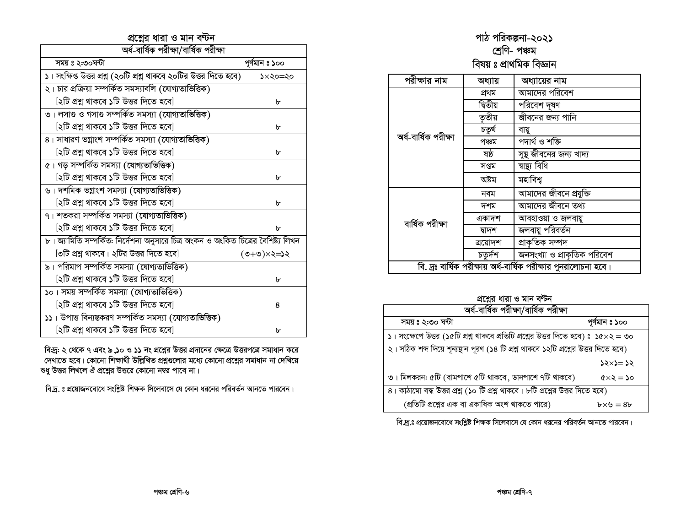#### প্রশ্নের ধারা ও মান বন্টন

| অৰ্ধ-বাৰ্ষিক পরীক্ষা/বাৰ্ষিক পরীক্ষা                                               |                 |  |
|------------------------------------------------------------------------------------|-----------------|--|
| সময় ঃ ২:৩০ঘন্টা                                                                   | পূৰ্ণমান ঃ ১০০  |  |
| ১। সংক্ষিপ্ত উত্তর প্রশ্ন (২০টি প্রশ্ন থাকবে ২০টির উত্তর দিতে হবে)                 | ১×২০=২০         |  |
| ২। চার প্রক্রিয়া সম্পর্কিত সমস্যাবলি (যোগ্যতাভিত্তিক)                             |                 |  |
| [২টি প্রশ্ন থাকবে ১টি উত্তর দিতে হবে]                                              | ৮               |  |
| ৩। লসাগু ও গসাগু সম্পর্কিত সমস্যা (যোগ্যতাভিত্তিক)                                 |                 |  |
| [২টি প্রশ্ন থাকবে ১টি উত্তর দিতে হবে]                                              | ৮               |  |
| ৪। সাধারণ ভগ্নাংশ সম্পর্কিত সমস্যা (যোগ্যতাভিত্তিক)                                |                 |  |
| [২টি প্রশ্ন থাকবে ১টি উত্তর দিতে হবে]                                              | ৮               |  |
| ৫। গড় সম্পর্কিত সমস্যা (যোগ্যতাভিত্তিক)                                           |                 |  |
| [২টি প্রশ্ন থাকবে ১টি উত্তর দিতে হবে]                                              | ৮               |  |
| ৬। দশমিক ভগ্নাংশ সমস্যা (যোগ্যতাভিত্তিক)                                           |                 |  |
| [২টি প্রশ্ন থাকবে ১টি উত্তর দিতে হবে]                                              | ৮               |  |
| ৭। শতকরা সম্পর্কিত সমস্যা (যোগ্যতাভিত্তিক)                                         |                 |  |
| [২টি প্রশ্ন থাকবে ১টি উত্তর দিতে হবে]                                              | ᠤ               |  |
| ৮। জ্যামিতি সম্পর্কিত: নির্দেশনা অনুসারে চিত্র অংকন ও অংকিত চিত্রের বৈশিষ্ট্য লিখন |                 |  |
| [৩টি প্রশ্ন থাকবে। ২টির উত্তর দিতে হবে]                                            | $525\times 10+$ |  |
| ৯। পরিমাপ সম্পর্কিত সমস্যা (যোগ্যতাভিত্তিক)                                        |                 |  |
| [২টি প্রশ্ন থাকবে ১টি উত্তর দিতে হবে]                                              | ৮               |  |
| ১০। সময় সম্পর্কিত সমস্যা (যোগ্যতাভিত্তিক)                                         |                 |  |
| [২টি প্রশ্ন থাকবে ১টি উত্তর দিতে হবে]                                              | 8               |  |
| ১১। উপাত্ত বিন্যন্তকরণ সম্পর্কিত সমস্যা (যোগ্যতাভিত্তিক)                           |                 |  |
| [২টি প্রশ্ন থাকবে ১টি উত্তর দিতে হবে]                                              | ৮               |  |

বিদ্র: ২ থেকে ৭ এবং ৯ ,১০ ও ১১ নং প্রশ্নের উত্তর প্রদানের ক্ষেত্রে উত্তরপত্রে সমাধান করে<br>দেখাতে হবে। কোনো শিক্ষার্থী উল্লিখিত প্রশ্নগুলোর মধ্যে কোনো প্রশ্নের সমাধান না দেখিয়ে শুধু উত্তর লিখলে ঐ প্রশ্নের উত্তরে কোনো নম্বর পাবে না।

বি.দ্র. ঃ প্রয়োজনবোধে সংশ্লিষ্ট শিক্ষক সিলেবাসে যে কোন ধরনের পরিবর্তন আনতে পারবেন।

## পাঠ পরিকল্পনা-২০২১<br>শ্রেণি- পঞ্চম<br>বিষয় ঃ প্রাথমিক বিজ্ঞান

| পরীক্ষার নাম                                                     | অধ্যায়  | অধ্যায়ের নাম               |
|------------------------------------------------------------------|----------|-----------------------------|
|                                                                  | প্ৰথম    | আমাদের পরিবেশ               |
|                                                                  | দ্বিতীয় | পরিবেশ দূষণ                 |
|                                                                  | তৃতীয়   | জীবনের জন্য পানি            |
|                                                                  | চতুৰ্থ   | বায়ু                       |
| অৰ্ধ-বাৰ্ষিক পরীক্ষা                                             | পঞ্চম    | পদাৰ্থ ও শক্তি              |
|                                                                  | ষষ্ঠ     | সুষ্থ জীবনের জন্য খাদ্য     |
|                                                                  | সপ্তম    | ষান্থ্য বিধি                |
|                                                                  | অষ্টম    | মহাবিশ্ব                    |
|                                                                  | নবম      | আমাদের জীবনে প্রযুক্তি      |
|                                                                  | দশম      | আমাদের জীবনে তথ্য           |
| বাৰ্ষিক পরীক্ষা                                                  | একাদশ    | আবহাওয়া ও জলবায়ু          |
|                                                                  | দ্বাদশ   | জলবায়ু পরিবর্তন            |
|                                                                  | ত্রয়োদশ | <u>স্ৰা</u> কৃতিক সম্পদ     |
|                                                                  | চতুৰ্দশ  | জনসংখ্যা ও প্রাকৃতিক পরিবেশ |
| বি. দ্রঃ বার্ষিক পরীক্ষায় অর্ধ-বার্ষিক পরীক্ষার পুনরালোচনা হবে। |          |                             |

#### প্রশ্নের ধারা ও মান বণ্টন

| অৰ্ধ-বাৰ্ষিক পরীক্ষা/বাৰ্ষিক পরীক্ষা                                                              |                          |  |  |  |
|---------------------------------------------------------------------------------------------------|--------------------------|--|--|--|
| সময়ঃ ২:৩০ ঘন্টা                                                                                  | পূৰ্ণমান ঃ ১০০           |  |  |  |
| $\vert$ । সংক্ষেপে উত্তর (১৫টি প্রশ্ন থাকবে প্রতিটি প্রশ্নের উত্তর দিতে হবে) ঃ ১৫ $\times$ ২ = ৩০ |                          |  |  |  |
| ২। সঠিক শব্দ দিয়ে শূন্যস্থান পূরণ (১৪ টি প্রশ্ন থাকবে ১২টি প্রশ্নের উত্তর দিতে হবে)              |                          |  |  |  |
|                                                                                                   | $55 \times 2 = 25$       |  |  |  |
| ৩। মিলকরন: ৫টি (বামপাশে ৫টি থাকবে, ডানপাশে ৭টি থাকবে)                                             | $oc = \epsilon \times 2$ |  |  |  |
| $8$ । কাঠামো বদ্ধ উত্তর প্রশ্ন (১০ টি প্রশ্ন থাকবে। ৮টি প্রশ্নের উত্তর দিতে হবে)                  |                          |  |  |  |
| (প্রতিটি প্রশ্নের এক বা একাধিক অংশ থাকতে পারে)                                                    | $b \times b = 8b$        |  |  |  |

বি.দ্র.ঃ প্রয়োজনবোধে সংশ্লিষ্ট শিক্ষক সিলেবাসে যে কোন ধরনের পরিবর্তন আনতে পারবেন।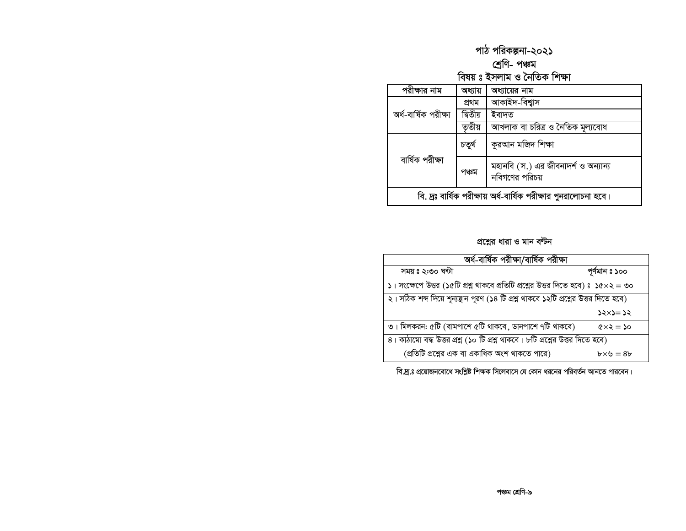# পাঠ পরিকল্পনা-২০২১<br>শ্রেণি- পঞ্চম<br>বিষয় ঃ ইসলাম ও নৈতিক শিক্ষা

| পরাক্ষার নাম                                                     | অধ্যায়  | অধ্যায়ের নাম                                         |  |
|------------------------------------------------------------------|----------|-------------------------------------------------------|--|
|                                                                  | প্ৰথম    | আকাইদ-বিশ্বাস                                         |  |
| অৰ্ধ-বাৰ্ষিক পরীক্ষা                                             | দ্বিতীয় | ইবাদত                                                 |  |
|                                                                  | ত়তীয়   | আখলাক বা চরিত্র ও নৈতিক মূল্যবোধ                      |  |
| বাৰ্ষিক পরীক্ষা                                                  | চতুৰ্থ   | কুরআন মজিদ শিক্ষা                                     |  |
|                                                                  | পঞ্চম    | মহানবি (স.) এর জীবনাদর্শ ও অন্যান্য<br>নবিগণের পরিচয় |  |
| বি. দ্রঃ বার্ষিক পরীক্ষায় অর্ধ-বার্ষিক পরীক্ষার পুনরালোচনা হবে। |          |                                                       |  |

#### প্রশ্নের ধারা ও মান বন্টন

| অৰ্ধ-বাৰ্ষিক পরীক্ষা/বাৰ্ষিক পরীক্ষা                                                              |                             |  |  |
|---------------------------------------------------------------------------------------------------|-----------------------------|--|--|
| সময়ঃ ২:৩০ ঘন্টা                                                                                  | পূৰ্ণমান ঃ ১০০              |  |  |
| $\vert$ । সংক্ষেপে উত্তর (১৫টি প্রশ্ন থাকবে প্রতিটি প্রশ্নের উত্তর দিতে হবে) ঃ ১৫ $\times$ ২ = ৩০ |                             |  |  |
| ২। সঠিক শব্দ দিয়ে শূন্যন্থান পূরণ (১৪ টি প্রশ্ন থাকবে ১২টি প্রশ্নের উত্তর দিতে হবে)              |                             |  |  |
|                                                                                                   | ১২×১= ১২                    |  |  |
| ৩। মিলকরন: ৫টি (বামপাশে ৫টি থাকবে, ডানপাশে ৭টি থাকবে)                                             | $\alpha \leq z \leq \infty$ |  |  |
| ৪। কাঠামো বদ্ধ উত্তর প্রশ্ন (১০ টি প্রশ্ন থাকবে। ৮টি প্রশ্নের উত্তর দিতে হবে)                     |                             |  |  |
| (প্রতিটি প্রশ্নের এক বা একাধিক অংশ থাকতে পারে)                                                    | $b \times b = 8b$           |  |  |

বি.দ্র.ঃ প্রয়োজনবোধে সংশ্লিষ্ট শিক্ষক সিলেবাসে যে কোন ধরনের পরিবর্তন আনতে পারবেন।